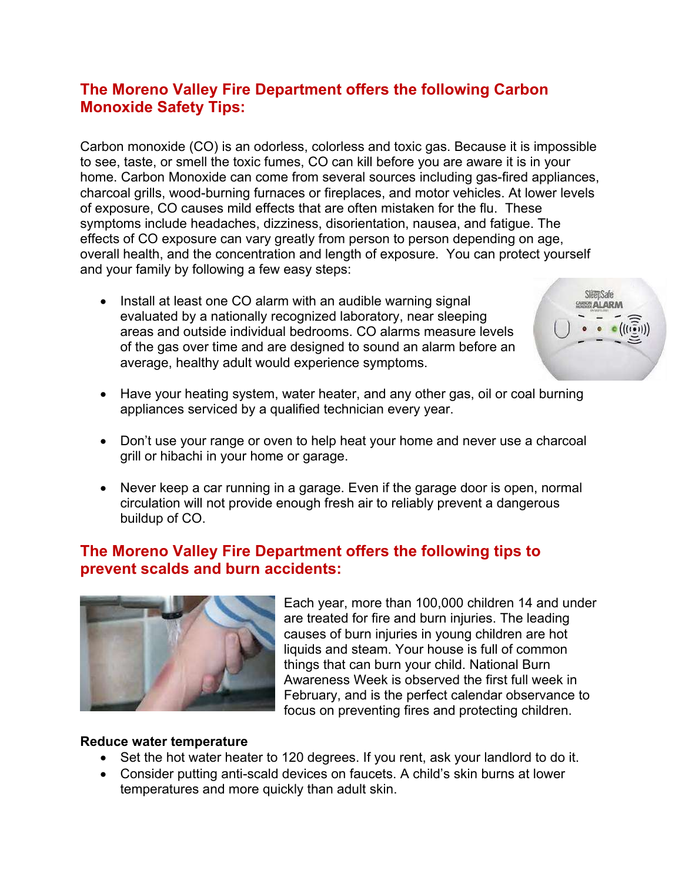# **The Moreno Valley Fire Department offers the following Carbon Monoxide Safety Tips:**

Carbon monoxide (CO) is an odorless, colorless and toxic gas. Because it is impossible to see, taste, or smell the toxic fumes, CO can kill before you are aware it is in your home. Carbon Monoxide can come from several sources including gas-fired appliances, charcoal grills, wood-burning furnaces or fireplaces, and motor vehicles. At lower levels of exposure, CO causes mild effects that are often mistaken for the flu. These symptoms include headaches, dizziness, disorientation, nausea, and fatigue. The effects of CO exposure can vary greatly from person to person depending on age, overall health, and the concentration and length of exposure. You can protect yourself and your family by following a few easy steps:

• Install at least one CO alarm with an audible warning signal evaluated by a nationally recognized laboratory, near sleeping areas and outside individual bedrooms. CO alarms measure levels of the gas over time and are designed to sound an alarm before an average, healthy adult would experience symptoms.



- Have your heating system, water heater, and any other gas, oil or coal burning appliances serviced by a qualified technician every year.
- Don't use your range or oven to help heat your home and never use a charcoal grill or hibachi in your home or garage.
- Never keep a car running in a garage. Even if the garage door is open, normal circulation will not provide enough fresh air to reliably prevent a dangerous buildup of CO.

## **The Moreno Valley Fire Department offers the following tips to prevent scalds and burn accidents:**



Each year, more than 100,000 children 14 and under are treated for fire and burn injuries. The leading causes of burn injuries in young children are hot liquids and steam. Your house is full of common things that can burn your child. National Burn Awareness Week is observed the first full week in February, and is the perfect calendar observance to focus on preventing fires and protecting children.

#### **Reduce water temperature**

- Set the hot water heater to 120 degrees. If you rent, ask your landlord to do it.
- Consider putting anti-scald devices on faucets. A child's skin burns at lower temperatures and more quickly than adult skin.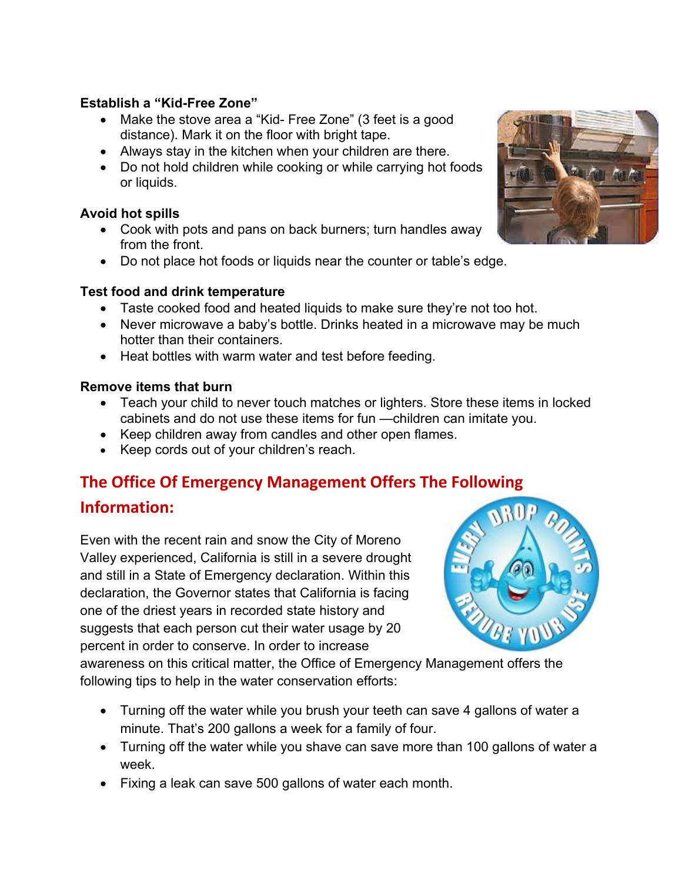## **Establish a "Kid-Free Zone"**

- Make the stove area a "Kid- Free Zone" (3 feet is a good distance). Mark it on the floor with bright tape.
- Always stay in the kitchen when your children are there.
- Do not hold children while cooking or while carrying hot foods or liquids.

## **Avoid hot spills**

- Cook with pots and pans on back burners; turn handles away from the front.
- Do not place hot foods or liquids near the counter or table's edge.

### **Test food and drink temperature**

- Taste cooked food and heated liquids to make sure they're not too hot.
- Never microwave a baby's bottle. Drinks heated in a microwave may be much hotter than their containers.
- Heat bottles with warm water and test before feeding.

#### **Remove items that burn**

- Teach your child to never touch matches or lighters. Store these items in locked cabinets and do not use these items for fun —children can imitate you.
- Keep children away from candles and other open flames.
- Keep cords out of your children's reach.

# **The Office Of Emergency Management Offers The Following**

## **Information:**

Even with the recent rain and snow the City of Moreno Valley experienced, California is still in a severe drought and still in a State of Emergency declaration. Within this declaration, the Governor states that California is facing one of the driest years in recorded state history and suggests that each person cut their water usage by 20 percent in order to conserve. In order to increase



awareness on this critical matter, the Office of Emergency Management offers the following tips to help in the water conservation efforts:

- Turning off the water while you brush your teeth can save 4 gallons of water a minute. That's 200 gallons a week for a family of four.
- Turning off the water while you shave can save more than 100 gallons of water a week.
- Fixing a leak can save 500 gallons of water each month.